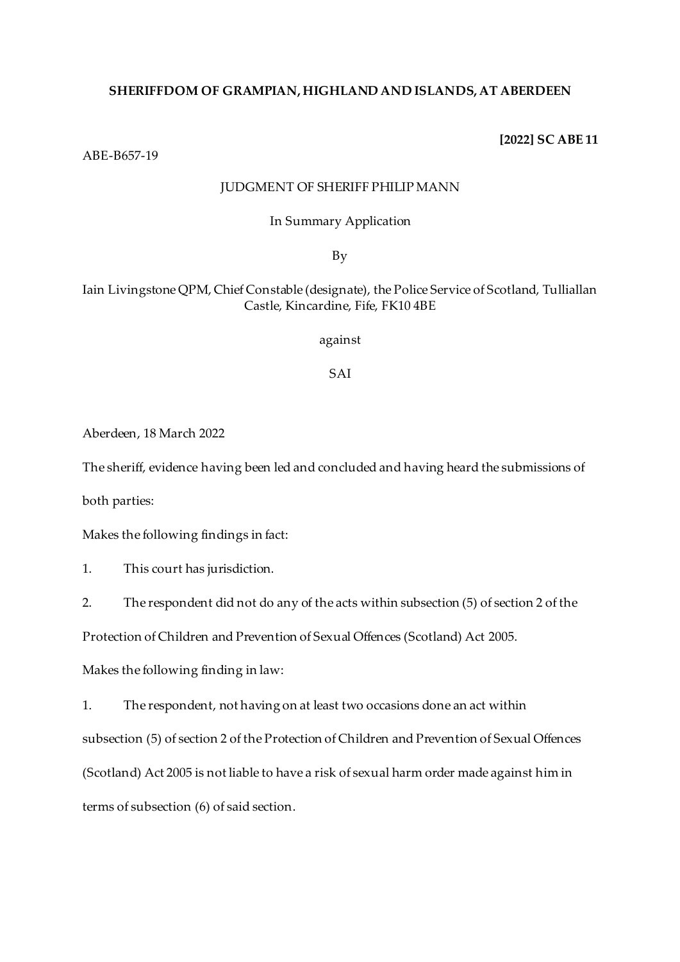## **SHERIFFDOM OF GRAMPIAN, HIGHLAND AND ISLANDS, AT ABERDEEN**

**[2022] SC ABE 11**

ABE-B657-19

## JUDGMENT OF SHERIFF PHILIP MANN

## In Summary Application

By

# Iain Livingstone QPM, Chief Constable (designate), the Police Service of Scotland, Tulliallan Castle, Kincardine, Fife, FK10 4BE

against

SAI

Aberdeen, 18 March 2022

The sheriff, evidence having been led and concluded and having heard the submissions of

both parties:

Makes the following findings in fact:

1. This court has jurisdiction.

2. The respondent did not do any of the acts within subsection (5) of section 2 of the

Protection of Children and Prevention of Sexual Offences (Scotland) Act 2005.

Makes the following finding in law:

1. The respondent, not having on at least two occasions done an act within subsection (5) of section 2 of the Protection of Children and Prevention of Sexual Offences (Scotland) Act 2005 is not liable to have a risk of sexual harm order made against him in terms of subsection (6) of said section.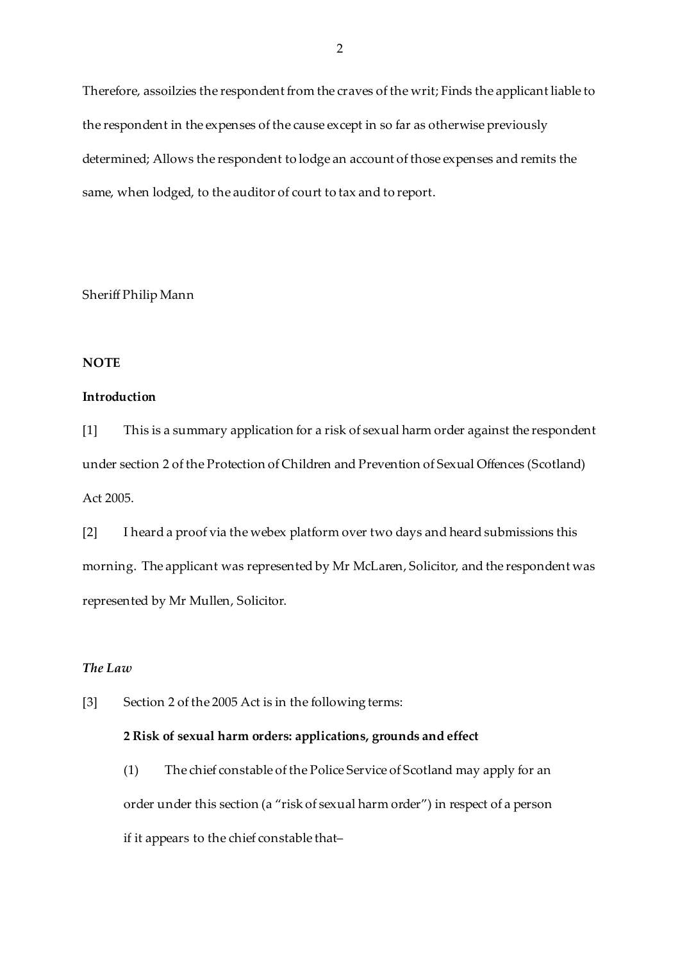Therefore, assoilzies the respondent from the craves of the writ; Finds the applicant liable to the respondent in the expenses of the cause except in so far as otherwise previously determined; Allows the respondent to lodge an account of those expenses and remits the same, when lodged, to the auditor of court to tax and to report.

Sheriff Philip Mann

#### **NOTE**

#### **Introduction**

[1] This is a summary application for a risk of sexual harm order against the respondent under section 2 of the Protection of Children and Prevention of Sexual Offences (Scotland) Act 2005.

[2] I heard a proof via the webex platform over two days and heard submissions this morning. The applicant was represented by Mr McLaren, Solicitor, and the respondent was represented by Mr Mullen, Solicitor.

# *The Law*

[3] Section 2 of the 2005 Act is in the following terms:

## **2 Risk of sexual harm orders: applications, grounds and effect**

(1) The chief constable of the Police Service of Scotland may apply for an order under this section (a "risk of sexual harm order") in respect of a person if it appears to the chief constable that–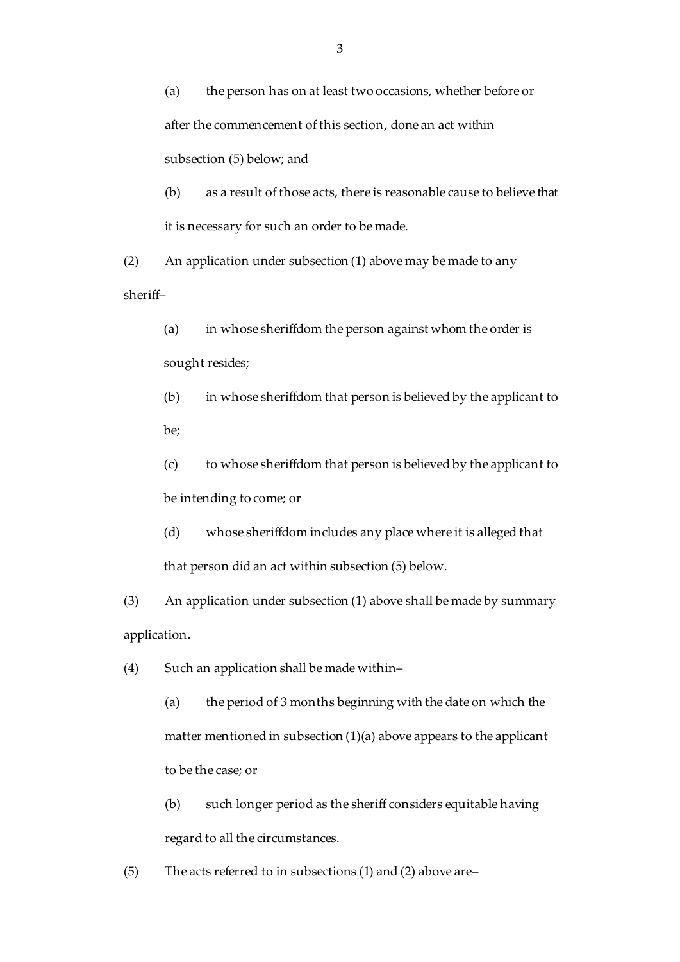(a) the person has on at least two occasions, whether before or after the commencement of this section, done an act within subsection (5) below; and

(b) as a result of those acts, there is reasonable cause to believe that it is necessary for such an order to be made.

(2) An application under subsection (1) above may be made to any sheriff–

(a) in whose sheriffdom the person against whom the order is sought resides;

(b) in whose sheriffdom that person is believed by the applicant to be;

(c) to whose sheriffdom that person is believed by the applicant to be intending to come; or

(d) whose sheriffdom includes any place where it is alleged that that person did an act within subsection (5) below.

(3) An application under subsection (1) above shall be made by summary application.

(4) Such an application shall be made within–

(a) the period of 3 months beginning with the date on which the matter mentioned in subsection (1)(a) above appears to the applicant to be the case; or

(b) such longer period as the sheriff considers equitable having regard to all the circumstances.

(5) The acts referred to in subsections (1) and (2) above are–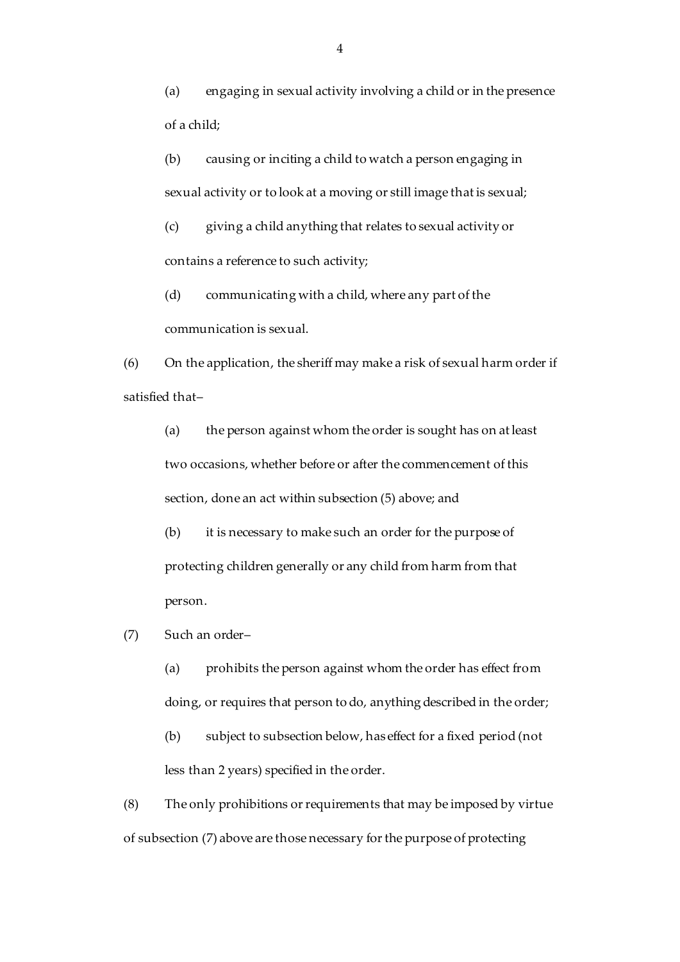(a) engaging in sexual activity involving a child or in the presence of a child;

(b) causing or inciting a child to watch a person engaging in sexual activity or to look at a moving or still image that is sexual;

(c) giving a child anything that relates to sexual activity or contains a reference to such activity;

(d) communicating with a child, where any part of the communication is sexual.

(6) On the application, the sheriff may make a risk of sexual harm order if satisfied that–

(a) the person against whom the order is sought has on at least two occasions, whether before or after the commencement of this section, done an act within subsection (5) above; and

(b) it is necessary to make such an order for the purpose of protecting children generally or any child from harm from that person.

(7) Such an order–

(a) prohibits the person against whom the order has effect from doing, or requires that person to do, anything described in the order;

(b) subject to subsection below, has effect for a fixed period (not less than 2 years) specified in the order.

(8) The only prohibitions or requirements that may be imposed by virtue of subsection (7) above are those necessary for the purpose of protecting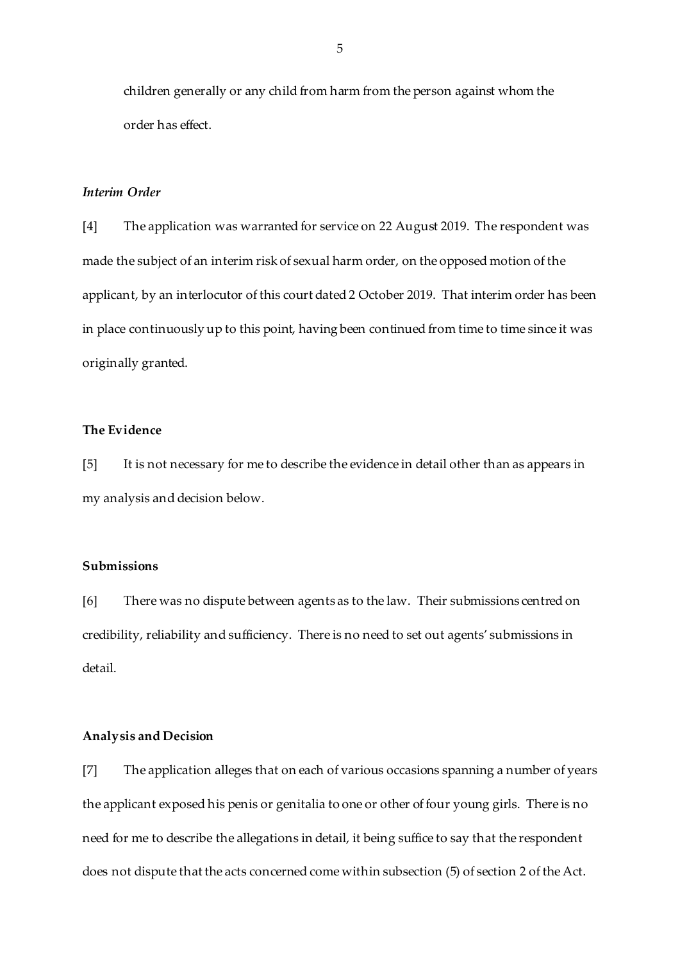children generally or any child from harm from the person against whom the order has effect.

#### *Interim Order*

[4] The application was warranted for service on 22 August 2019. The respondent was made the subject of an interim risk of sexual harm order, on the opposed motion of the applicant, by an interlocutor of this court dated 2 October 2019. That interim order has been in place continuously up to this point, having been continued from time to time since it was originally granted.

## **The Evidence**

[5] It is not necessary for me to describe the evidence in detail other than as appears in my analysis and decision below.

## **Submissions**

[6] There was no dispute between agents as to the law. Their submissions centred on credibility, reliability and sufficiency. There is no need to set out agents' submissions in detail.

#### **Analysis and Decision**

[7] The application alleges that on each of various occasions spanning a number of years the applicant exposed his penis or genitalia to one or other of four young girls. There is no need for me to describe the allegations in detail, it being suffice to say that the respondent does not dispute that the acts concerned come within subsection (5) of section 2 of the Act.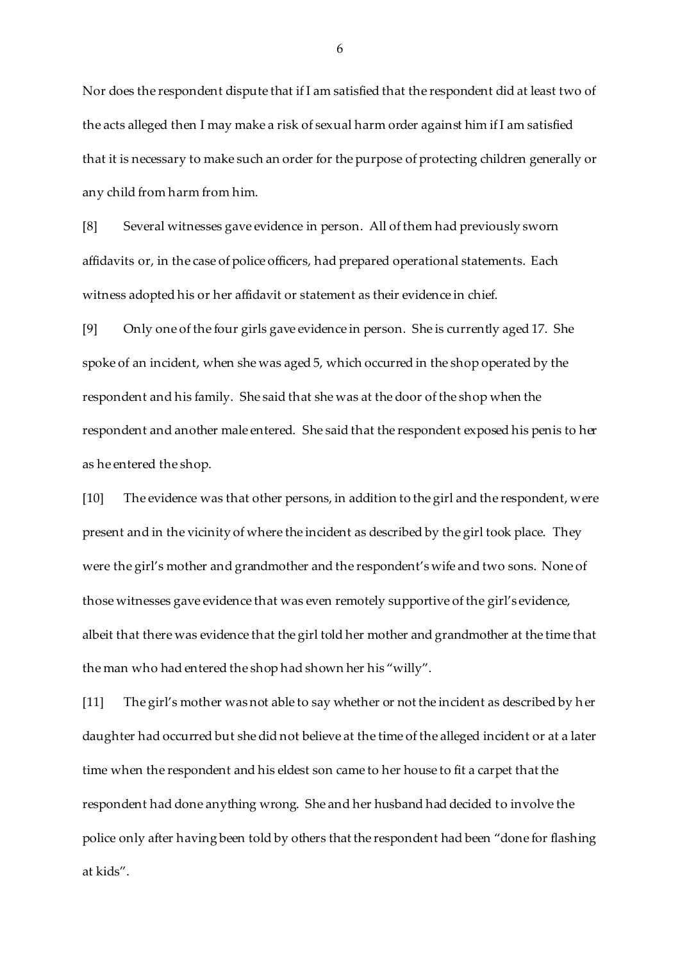Nor does the respondent dispute that if I am satisfied that the respondent did at least two of the acts alleged then I may make a risk of sexual harm order against him if I am satisfied that it is necessary to make such an order for the purpose of protecting children generally or any child from harm from him.

[8] Several witnesses gave evidence in person. All of them had previously sworn affidavits or, in the case of police officers, had prepared operational statements. Each witness adopted his or her affidavit or statement as their evidence in chief.

[9] Only one of the four girls gave evidence in person. She is currently aged 17. She spoke of an incident, when she was aged 5, which occurred in the shop operated by the respondent and his family. She said that she was at the door of the shop when the respondent and another male entered. She said that the respondent exposed his penis to her as he entered the shop.

[10] The evidence was that other persons, in addition to the girl and the respondent, were present and in the vicinity of where the incident as described by the girl took place. They were the girl's mother and grandmother and the respondent's wife and two sons. None of those witnesses gave evidence that was even remotely supportive of the girl's evidence, albeit that there was evidence that the girl told her mother and grandmother at the time that the man who had entered the shop had shown her his "willy".

[11] The girl's mother was not able to say whether or not the incident as described by her daughter had occurred but she did not believe at the time of the alleged incident or at a later time when the respondent and his eldest son came to her house to fit a carpet that the respondent had done anything wrong. She and her husband had decided to involve the police only after having been told by others that the respondent had been "done for flashing at kids".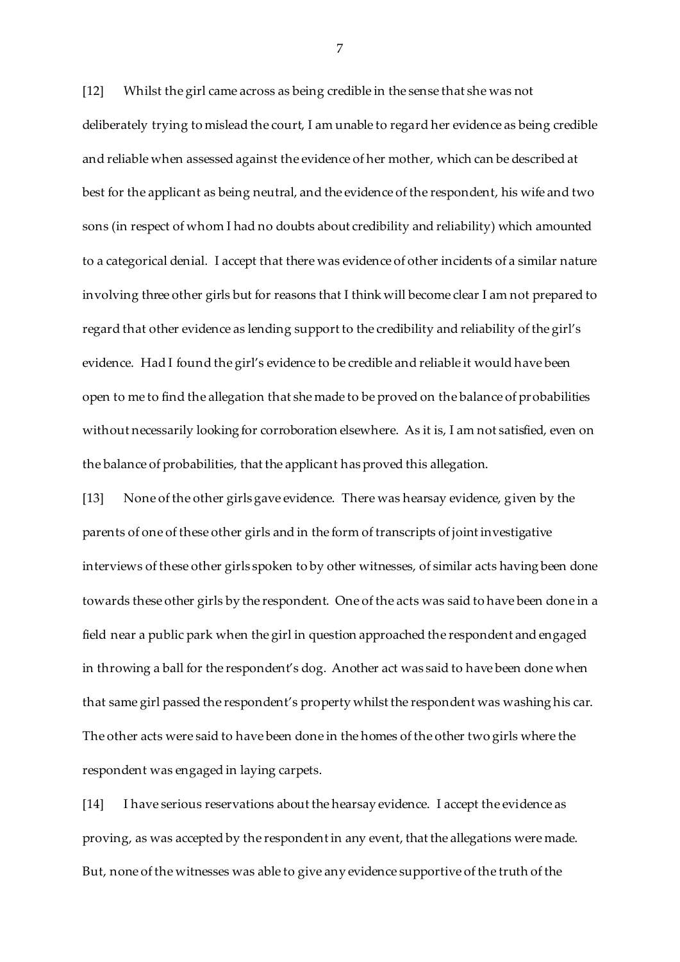[12] Whilst the girl came across as being credible in the sense that she was not deliberately trying to mislead the court, I am unable to regard her evidence as being credible and reliable when assessed against the evidence of her mother, which can be described at best for the applicant as being neutral, and the evidence of the respondent, his wife and two sons (in respect of whom I had no doubts about credibility and reliability) which amounted to a categorical denial. I accept that there was evidence of other incidents of a similar nature involving three other girls but for reasons that I think will become clear I am not prepared to regard that other evidence as lending support to the credibility and reliability of the girl's evidence. Had I found the girl's evidence to be credible and reliable it would have been open to me to find the allegation that she made to be proved on the balance of probabilities without necessarily looking for corroboration elsewhere. As it is, I am not satisfied, even on the balance of probabilities, that the applicant has proved this allegation.

[13] None of the other girls gave evidence. There was hearsay evidence, given by the parents of one of these other girls and in the form of transcripts of joint investigative interviews of these other girls spoken to by other witnesses, of similar acts having been done towards these other girls by the respondent. One of the acts was said to have been done in a field near a public park when the girl in question approached the respondent and engaged in throwing a ball for the respondent's dog. Another act was said to have been done when that same girl passed the respondent's property whilst the respondent was washing his car. The other acts were said to have been done in the homes of the other two girls where the respondent was engaged in laying carpets.

[14] I have serious reservations about the hearsay evidence. I accept the evidence as proving, as was accepted by the respondent in any event, that the allegations were made. But, none of the witnesses was able to give any evidence supportive of the truth of the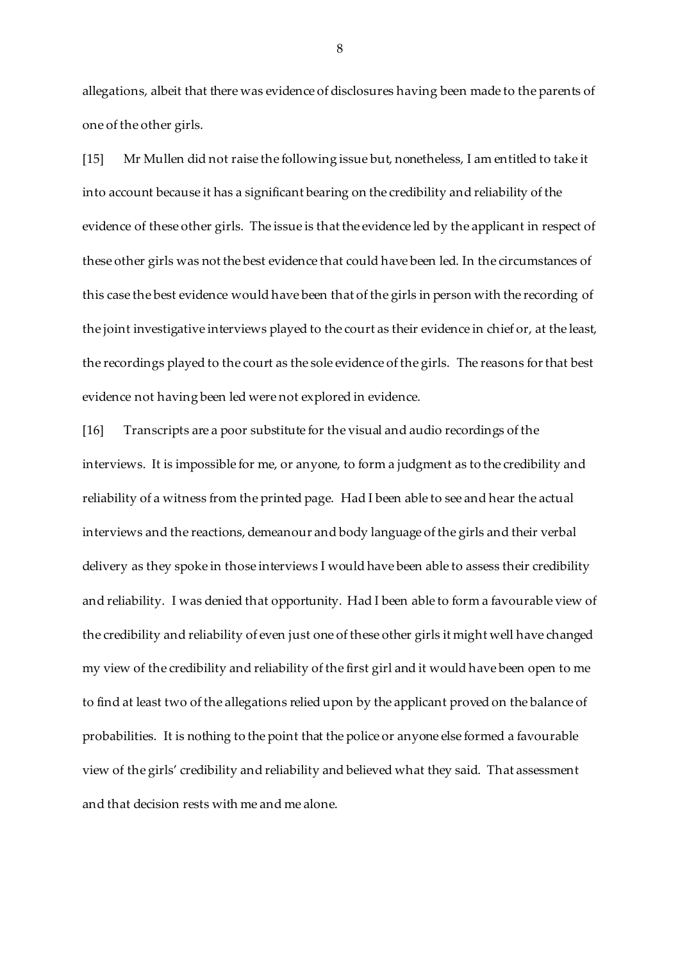allegations, albeit that there was evidence of disclosures having been made to the parents of one of the other girls.

[15] Mr Mullen did not raise the following issue but, nonetheless, I am entitled to take it into account because it has a significant bearing on the credibility and reliability of the evidence of these other girls. The issue is that the evidence led by the applicant in respect of these other girls was not the best evidence that could have been led. In the circumstances of this case the best evidence would have been that of the girls in person with the recording of the joint investigative interviews played to the court as their evidence in chief or, at the least, the recordings played to the court as the sole evidence of the girls. The reasons for that best evidence not having been led were not explored in evidence.

[16] Transcripts are a poor substitute for the visual and audio recordings of the interviews. It is impossible for me, or anyone, to form a judgment as to the credibility and reliability of a witness from the printed page. Had I been able to see and hear the actual interviews and the reactions, demeanour and body language of the girls and their verbal delivery as they spoke in those interviews I would have been able to assess their credibility and reliability. I was denied that opportunity. Had I been able to form a favourable view of the credibility and reliability of even just one of these other girls it might well have changed my view of the credibility and reliability of the first girl and it would have been open to me to find at least two of the allegations relied upon by the applicant proved on the balance of probabilities. It is nothing to the point that the police or anyone else formed a favourable view of the girls' credibility and reliability and believed what they said. That assessment and that decision rests with me and me alone.